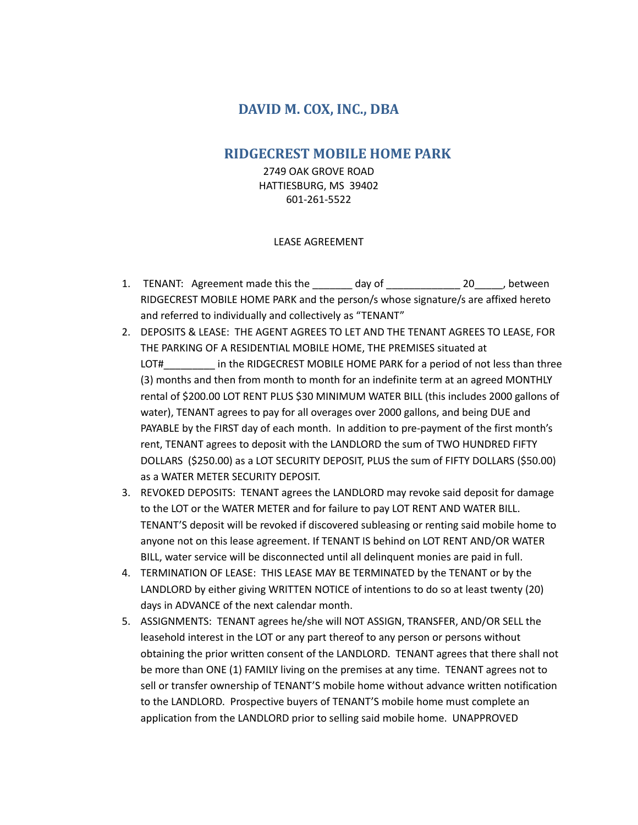## **DAVID M. COX, INC., DBA**

## **RIDGECREST MOBILE HOME PARK**

2749 OAK GROVE ROAD HATTIESBURG, MS 39402 601-261-5522

## LEASE AGREEMENT

- 1. TENANT: Agreement made this the day of 20 between RIDGECREST MOBILE HOME PARK and the person/s whose signature/s are affixed hereto and referred to individually and collectively as "TENANT"
- 2. DEPOSITS & LEASE: THE AGENT AGREES TO LET AND THE TENANT AGREES TO LEASE, FOR THE PARKING OF A RESIDENTIAL MOBILE HOME, THE PREMISES situated at LOT# lin the RIDGECREST MOBILE HOME PARK for a period of not less than three (3) months and then from month to month for an indefinite term at an agreed MONTHLY rental of \$200.00 LOT RENT PLUS \$30 MINIMUM WATER BILL (this includes 2000 gallons of water), TENANT agrees to pay for all overages over 2000 gallons, and being DUE and PAYABLE by the FIRST day of each month. In addition to pre-payment of the first month's rent, TENANT agrees to deposit with the LANDLORD the sum of TWO HUNDRED FIFTY DOLLARS (\$250.00) as a LOT SECURITY DEPOSIT, PLUS the sum of FIFTY DOLLARS (\$50.00) as a WATER METER SECURITY DEPOSIT.
- 3. REVOKED DEPOSITS: TENANT agrees the LANDLORD may revoke said deposit for damage to the LOT or the WATER METER and for failure to pay LOT RENT AND WATER BILL. TENANT'S deposit will be revoked if discovered subleasing or renting said mobile home to anyone not on this lease agreement. If TENANT IS behind on LOT RENT AND/OR WATER BILL, water service will be disconnected until all delinquent monies are paid in full.
- 4. TERMINATION OF LEASE: THIS LEASE MAY BE TERMINATED by the TENANT or by the LANDLORD by either giving WRITTEN NOTICE of intentions to do so at least twenty (20) days in ADVANCE of the next calendar month.
- 5. ASSIGNMENTS: TENANT agrees he/she will NOT ASSIGN, TRANSFER, AND/OR SELL the leasehold interest in the LOT or any part thereof to any person or persons without obtaining the prior written consent of the LANDLORD. TENANT agrees that there shall not be more than ONE (1) FAMILY living on the premises at any time. TENANT agrees not to sell or transfer ownership of TENANT'S mobile home without advance written notification to the LANDLORD. Prospective buyers of TENANT'S mobile home must complete an application from the LANDLORD prior to selling said mobile home. UNAPPROVED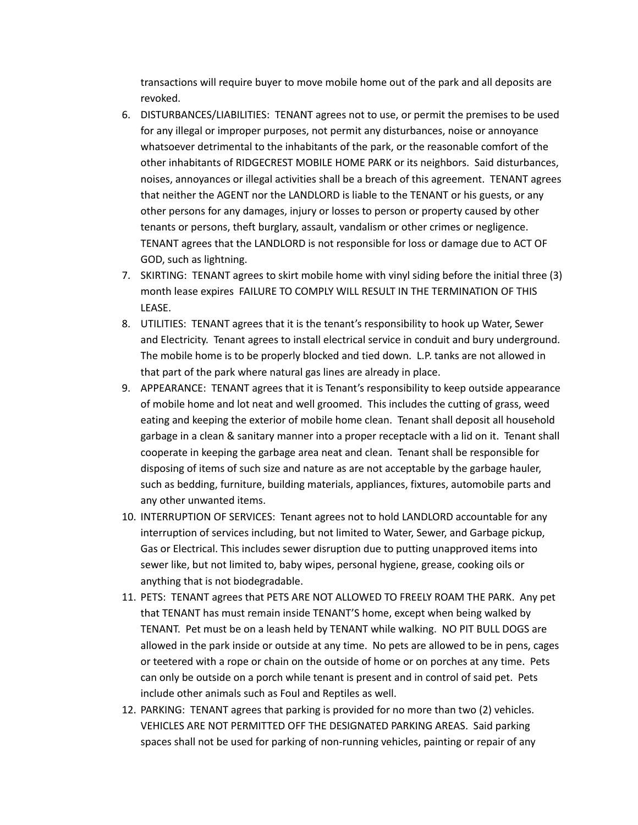transactions will require buyer to move mobile home out of the park and all deposits are revoked.

- 6. DISTURBANCES/LIABILITIES: TENANT agrees not to use, or permit the premises to be used for any illegal or improper purposes, not permit any disturbances, noise or annoyance whatsoever detrimental to the inhabitants of the park, or the reasonable comfort of the other inhabitants of RIDGECREST MOBILE HOME PARK or its neighbors. Said disturbances, noises, annoyances or illegal activities shall be a breach of this agreement. TENANT agrees that neither the AGENT nor the LANDLORD is liable to the TENANT or his guests, or any other persons for any damages, injury or losses to person or property caused by other tenants or persons, theft burglary, assault, vandalism or other crimes or negligence. TENANT agrees that the LANDLORD is not responsible for loss or damage due to ACT OF GOD, such as lightning.
- 7. SKIRTING: TENANT agrees to skirt mobile home with vinyl siding before the initial three (3) month lease expires FAILURE TO COMPLY WILL RESULT IN THE TERMINATION OF THIS LEASE.
- 8. UTILITIES: TENANT agrees that it is the tenant's responsibility to hook up Water, Sewer and Electricity. Tenant agrees to install electrical service in conduit and bury underground. The mobile home is to be properly blocked and tied down. L.P. tanks are not allowed in that part of the park where natural gas lines are already in place.
- 9. APPEARANCE: TENANT agrees that it is Tenant's responsibility to keep outside appearance of mobile home and lot neat and well groomed. This includes the cutting of grass, weed eating and keeping the exterior of mobile home clean. Tenant shall deposit all household garbage in a clean & sanitary manner into a proper receptacle with a lid on it. Tenant shall cooperate in keeping the garbage area neat and clean. Tenant shall be responsible for disposing of items of such size and nature as are not acceptable by the garbage hauler, such as bedding, furniture, building materials, appliances, fixtures, automobile parts and any other unwanted items.
- 10. INTERRUPTION OF SERVICES: Tenant agrees not to hold LANDLORD accountable for any interruption of services including, but not limited to Water, Sewer, and Garbage pickup, Gas or Electrical. This includes sewer disruption due to putting unapproved items into sewer like, but not limited to, baby wipes, personal hygiene, grease, cooking oils or anything that is not biodegradable.
- 11. PETS: TENANT agrees that PETS ARE NOT ALLOWED TO FREELY ROAM THE PARK. Any pet that TENANT has must remain inside TENANT'S home, except when being walked by TENANT. Pet must be on a leash held by TENANT while walking. NO PIT BULL DOGS are allowed in the park inside or outside at any time. No pets are allowed to be in pens, cages or teetered with a rope or chain on the outside of home or on porches at any time. Pets can only be outside on a porch while tenant is present and in control of said pet. Pets include other animals such as Foul and Reptiles as well.
- 12. PARKING: TENANT agrees that parking is provided for no more than two (2) vehicles. VEHICLES ARE NOT PERMITTED OFF THE DESIGNATED PARKING AREAS. Said parking spaces shall not be used for parking of non-running vehicles, painting or repair of any